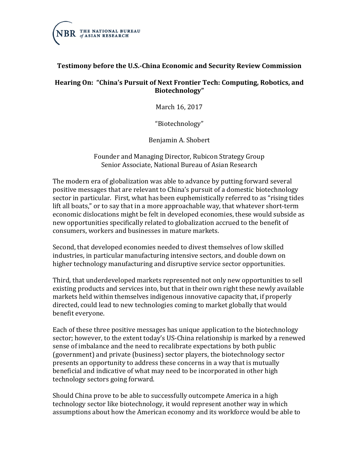

## **Testimony before the U.S.-China Economic and Security Review Commission**

#### **Hearing On: "China's Pursuit of Next Frontier Tech: Computing, Robotics, and Biotechnology"**

March 16, 2017

"Biotechnology"

Benjamin A. Shobert

Founder and Managing Director, Rubicon Strategy Group Senior Associate, National Bureau of Asian Research

The modern era of globalization was able to advance by putting forward several positive messages that are relevant to China's pursuit of a domestic biotechnology sector in particular. First, what has been euphemistically referred to as "rising tides lift all boats," or to say that in a more approachable way, that whatever short-term economic dislocations might be felt in developed economies, these would subside as new opportunities specifically related to globalization accrued to the benefit of consumers, workers and businesses in mature markets.

Second, that developed economies needed to divest themselves of low skilled industries, in particular manufacturing intensive sectors, and double down on higher technology manufacturing and disruptive service sector opportunities.

Third, that underdeveloped markets represented not only new opportunities to sell existing products and services into, but that in their own right these newly available markets held within themselves indigenous innovative capacity that, if properly directed, could lead to new technologies coming to market globally that would benefit everyone.

Each of these three positive messages has unique application to the biotechnology sector; however, to the extent today's US-China relationship is marked by a renewed sense of imbalance and the need to recalibrate expectations by both public (government) and private (business) sector players, the biotechnology sector presents an opportunity to address these concerns in a way that is mutually beneficial and indicative of what may need to be incorporated in other high technology sectors going forward.

Should China prove to be able to successfully outcompete America in a high technology sector like biotechnology, it would represent another way in which assumptions about how the American economy and its workforce would be able to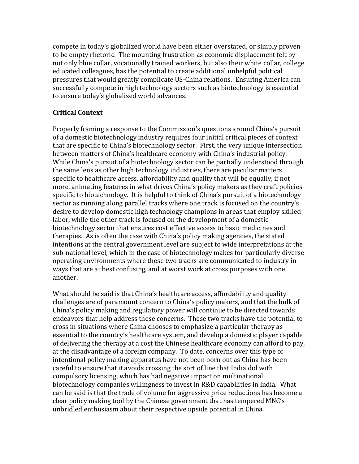compete in today's globalized world have been either overstated, or simply proven to be empty rhetoric. The mounting frustration as economic displacement felt by not only blue collar, vocationally trained workers, but also their white collar, college educated colleagues, has the potential to create additional unhelpful political pressures that would greatly complicate US-China relations. Ensuring America can successfully compete in high technology sectors such as biotechnology is essential to ensure today's globalized world advances.

## **Critical Context**

Properly framing a response to the Commission's questions around China's pursuit of a domestic biotechnology industry requires four initial critical pieces of context that are specific to China's biotechnology sector. First, the very unique intersection between matters of China's healthcare economy with China's industrial policy. While China's pursuit of a biotechnology sector can be partially understood through the same lens as other high technology industries, there are peculiar matters specific to healthcare access, affordability and quality that will be equally, if not more, animating features in what drives China's policy makers as they craft policies specific to biotechnology. It is helpful to think of China's pursuit of a biotechnology sector as running along parallel tracks where one track is focused on the country's desire to develop domestic high technology champions in areas that employ skilled labor, while the other track is focused on the development of a domestic biotechnology sector that ensures cost effective access to basic medicines and therapies. As is often the case with China's policy making agencies, the stated intentions at the central government level are subject to wide interpretations at the sub-national level, which in the case of biotechnology makes for particularly diverse operating environments where these two tracks are communicated to industry in ways that are at best confusing, and at worst work at cross purposes with one another.

What should be said is that China's healthcare access, affordability and quality challenges are of paramount concern to China's policy makers, and that the bulk of China's policy making and regulatory power will continue to be directed towards endeavors that help address these concerns. These two tracks have the potential to cross in situations where China chooses to emphasize a particular therapy as essential to the country's healthcare system, and develop a domestic player capable of delivering the therapy at a cost the Chinese healthcare economy can afford to pay, at the disadvantage of a foreign company. To date, concerns over this type of intentional policy making apparatus have not been born out as China has been careful to ensure that it avoids crossing the sort of line that India did with compulsory licensing, which has had negative impact on multinational biotechnology companies willingness to invest in R&D capabilities in India. What can be said is that the trade of volume for aggressive price reductions has become a clear policy making tool by the Chinese government that has tempered MNC's unbridled enthusiasm about their respective upside potential in China.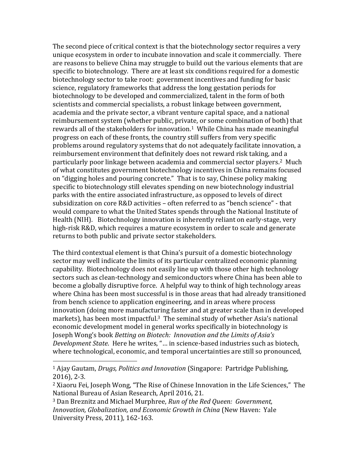The second piece of critical context is that the biotechnology sector requires a very unique ecosystem in order to incubate innovation and scale it commercially. There are reasons to believe China may struggle to build out the various elements that are specific to biotechnology. There are at least six conditions required for a domestic biotechnology sector to take root: government incentives and funding for basic science, regulatory frameworks that address the long gestation periods for biotechnology to be developed and commercialized, talent in the form of both scientists and commercial specialists, a robust linkage between government, academia and the private sector, a vibrant venture capital space, and a national reimbursement system (whether public, private, or some combination of both) that rewards all of the stakeholders for innovation.<sup>1</sup> While China has made meaningful progress on each of these fronts, the country still suffers from very specific problems around regulatory systems that do not adequately facilitate innovation, a reimbursement environment that definitely does not reward risk taking, and a particularly poor linkage between academia and commercial sector players.2 Much of what constitutes government biotechnology incentives in China remains focused on "digging holes and pouring concrete." That is to say, Chinese policy making specific to biotechnology still elevates spending on new biotechnology industrial parks with the entire associated infrastructure, as opposed to levels of direct subsidization on core R&D activities – often referred to as "bench science" - that would compare to what the United States spends through the National Institute of Health (NIH). Biotechnology innovation is inherently reliant on early-stage, very high-risk R&D, which requires a mature ecosystem in order to scale and generate returns to both public and private sector stakeholders.

The third contextual element is that China's pursuit of a domestic biotechnology sector may well indicate the limits of its particular centralized economic planning capability. Biotechnology does not easily line up with those other high technology sectors such as clean-technology and semiconductors where China has been able to become a globally disruptive force. A helpful way to think of high technology areas where China has been most successful is in those areas that had already transitioned from bench science to application engineering, and in areas where process innovation (doing more manufacturing faster and at greater scale than in developed markets), has been most impactful.<sup>3</sup> The seminal study of whether Asia's national economic development model in general works specifically in biotechnology is Joseph Wong's book *Betting on Biotech: Innovation and the Limits of Asia's Development State*. Here he writes, "… in science-based industries such as biotech, where technological, economic, and temporal uncertainties are still so pronounced,

<sup>1</sup> Ajay Gautam, *Drugs, Politics and Innovation* (Singapore: Partridge Publishing, 2016), 2-3.

<sup>2</sup> Xiaoru Fei, Joseph Wong, "The Rise of Chinese Innovation in the Life Sciences," The National Bureau of Asian Research, April 2016, 21.

<sup>3</sup> Dan Breznitz and Michael Murphree, *Run of the Red Queen: Government, Innovation, Globalization, and Economic Growth in China* (New Haven: Yale University Press, 2011), 162-163.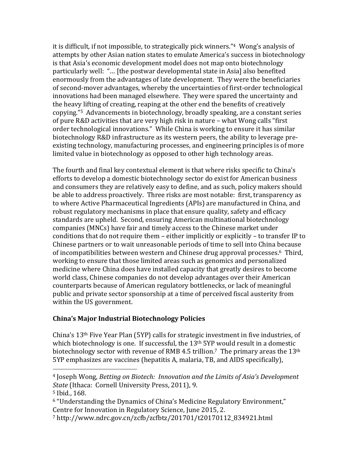it is difficult, if not impossible, to strategically pick winners."<sup>4</sup> Wong's analysis of attempts by other Asian nation states to emulate America's success in biotechnology is that Asia's economic development model does not map onto biotechnology particularly well: "… [the postwar developmental state in Asia] also benefited enormously from the advantages of late development. They were the beneficiaries of second-mover advantages, whereby the uncertainties of first-order technological innovations had been managed elsewhere. They were spared the uncertainty and the heavy lifting of creating, reaping at the other end the benefits of creatively copying."5 Advancements in biotechnology, broadly speaking, are a constant series of pure R&D activities that are very high risk in nature – what Wong calls "first order technological innovations." While China is working to ensure it has similar biotechnology R&D infrastructure as its western peers, the ability to leverage preexisting technology, manufacturing processes, and engineering principles is of more limited value in biotechnology as opposed to other high technology areas.

The fourth and final key contextual element is that where risks specific to China's efforts to develop a domestic biotechnology sector do exist for American business and consumers they are relatively easy to define, and as such, policy makers should be able to address proactively. Three risks are most notable: first, transparency as to where Active Pharmaceutical Ingredients (APIs) are manufactured in China, and robust regulatory mechanisms in place that ensure quality, safety and efficacy standards are upheld. Second, ensuring American multinational biotechnology companies (MNCs) have fair and timely access to the Chinese market under conditions that do not require them – either implicitly or explicitly – to transfer IP to Chinese partners or to wait unreasonable periods of time to sell into China because of incompatibilities between western and Chinese drug approval processes. <sup>6</sup> Third, working to ensure that those limited areas such as genomics and personalized medicine where China does have installed capacity that greatly desires to become world class, Chinese companies do not develop advantages over their American counterparts because of American regulatory bottlenecks, or lack of meaningful public and private sector sponsorship at a time of perceived fiscal austerity from within the US government.

#### **China's Major Industrial Biotechnology Policies**

China's 13th Five Year Plan (5YP) calls for strategic investment in five industries, of which biotechnology is one. If successful, the 13<sup>th</sup> 5YP would result in a domestic biotechnology sector with revenue of RMB 4.5 trillion.<sup>7</sup> The primary areas the 13<sup>th</sup> 5YP emphasizes are vaccines (hepatitis A, malaria, TB, and AIDS specifically),

<sup>4</sup> Joseph Wong, *Betting on Biotech: Innovation and the Limits of Asia's Development State* (Ithaca: Cornell University Press, 2011), 9.

<sup>5</sup> Ibid*.*, 168.

<sup>6</sup> "Understanding the Dynamics of China's Medicine Regulatory Environment," Centre for Innovation in Regulatory Science, June 2015, 2.

<sup>7</sup> http://www.ndrc.gov.cn/zcfb/zcfbtz/201701/t20170112\_834921.html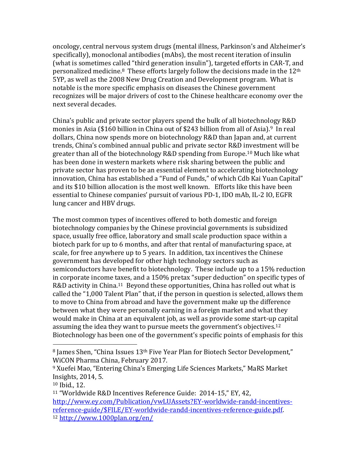oncology, central nervous system drugs (mental illness, Parkinson's and Alzheimer's specifically), monoclonal antibodies (mAbs), the most recent iteration of insulin (what is sometimes called "third generation insulin"), targeted efforts in CAR-T, and personalized medicine.8 These efforts largely follow the decisions made in the 12th 5YP, as well as the 2008 New Drug Creation and Development program. What is notable is the more specific emphasis on diseases the Chinese government recognizes will be major drivers of cost to the Chinese healthcare economy over the next several decades.

China's public and private sector players spend the bulk of all biotechnology R&D monies in Asia (\$160 billion in China out of \$243 billion from all of Asia).<sup>9</sup> In real dollars, China now spends more on biotechnology R&D than Japan and, at current trends, China's combined annual public and private sector R&D investment will be greater than all of the biotechnology R&D spending from Europe.<sup>10</sup> Much like what has been done in western markets where risk sharing between the public and private sector has proven to be an essential element to accelerating biotechnology innovation, China has established a "Fund of Funds," of which Cdb Kai Yuan Capital" and its \$10 billion allocation is the most well known. Efforts like this have been essential to Chinese companies' pursuit of various PD-1, IDO mAb, IL-2 IO, EGFR lung cancer and HBV drugs.

The most common types of incentives offered to both domestic and foreign biotechnology companies by the Chinese provincial governments is subsidized space, usually free office, laboratory and small scale production space within a biotech park for up to 6 months, and after that rental of manufacturing space, at scale, for free anywhere up to 5 years. In addition, tax incentives the Chinese government has developed for other high technology sectors such as semiconductors have benefit to biotechnology. These include up to a 15% reduction in corporate income taxes, and a 150% pretax "super deduction" on specific types of R&D activity in China.<sup>11</sup> Beyond these opportunities, China has rolled out what is called the "1,000 Talent Plan" that, if the person in question is selected, allows them to move to China from abroad and have the government make up the difference between what they were personally earning in a foreign market and what they would make in China at an equivalent job, as well as provide some start-up capital assuming the idea they want to pursue meets the government's objectives.<sup>12</sup> Biotechnology has been one of the government's specific points of emphasis for this

<sup>8</sup> James Shen, "China Issues 13<sup>th</sup> Five Year Plan for Biotech Sector Development," WiCON Pharma China, February 2017.

<sup>9</sup> Xuefei Mao, "Entering China's Emerging Life Sciences Markets," MaRS Market Insights, 2014, 5.

<sup>10</sup> Ibid., 12.

<sup>11</sup> "Worldwide R&D Incentives Reference Guide: 2014-15," EY, 42, [http://www.ey.com/Publication/vwLUAssets?EY-worldwide-randd-incentives](http://www.ey.com/Publication/vwLUAssets?EY-worldwide-randd-incentives-reference-guide/$FILE/EY-worldwide-randd-incentives-reference-guide.pdf)[reference-guide/\\$FILE/EY-worldwide-randd-incentives-reference-guide.pdf.](http://www.ey.com/Publication/vwLUAssets?EY-worldwide-randd-incentives-reference-guide/$FILE/EY-worldwide-randd-incentives-reference-guide.pdf) <sup>12</sup> <http://www.1000plan.org/en/>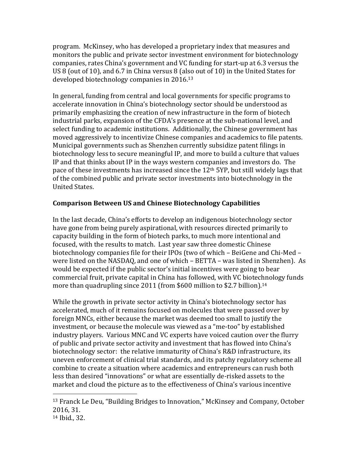program. McKinsey, who has developed a proprietary index that measures and monitors the public and private sector investment environment for biotechnology companies, rates China's government and VC funding for start-up at 6.3 versus the US 8 (out of 10), and 6.7 in China versus 8 (also out of 10) in the United States for developed biotechnology companies in 2016.<sup>13</sup>

In general, funding from central and local governments for specific programs to accelerate innovation in China's biotechnology sector should be understood as primarily emphasizing the creation of new infrastructure in the form of biotech industrial parks, expansion of the CFDA's presence at the sub-national level, and select funding to academic institutions. Additionally, the Chinese government has moved aggressively to incentivize Chinese companies and academics to file patents. Municipal governments such as Shenzhen currently subsidize patent filings in biotechnology less to secure meaningful IP, and more to build a culture that values IP and that thinks about IP in the ways western companies and investors do. The pace of these investments has increased since the 12th 5YP, but still widely lags that of the combined public and private sector investments into biotechnology in the United States.

#### **Comparison Between US and Chinese Biotechnology Capabilities**

In the last decade, China's efforts to develop an indigenous biotechnology sector have gone from being purely aspirational, with resources directed primarily to capacity building in the form of biotech parks, to much more intentional and focused, with the results to match. Last year saw three domestic Chinese biotechnology companies file for their IPOs (two of which – BeiGene and Chi-Med – were listed on the NASDAQ, and one of which – BETTA – was listed in Shenzhen). As would be expected if the public sector's initial incentives were going to bear commercial fruit, private capital in China has followed, with VC biotechnology funds more than quadrupling since 2011 (from \$600 million to \$2.7 billion).<sup>14</sup>

While the growth in private sector activity in China's biotechnology sector has accelerated, much of it remains focused on molecules that were passed over by foreign MNCs, either because the market was deemed too small to justify the investment, or because the molecule was viewed as a "me-too" by established industry players. Various MNC and VC experts have voiced caution over the flurry of public and private sector activity and investment that has flowed into China's biotechnology sector: the relative immaturity of China's R&D infrastructure, its uneven enforcement of clinical trial standards, and its patchy regulatory scheme all combine to create a situation where academics and entrepreneurs can rush both less than desired "innovations" or what are essentially de-risked assets to the market and cloud the picture as to the effectiveness of China's various incentive

<sup>13</sup> Franck Le Deu, "Building Bridges to Innovation," McKinsey and Company, October 2016, 31.

<sup>14</sup> Ibid., 32.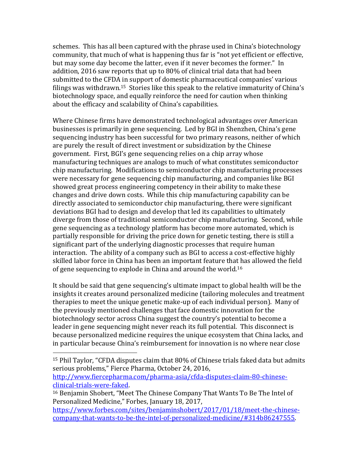schemes. This has all been captured with the phrase used in China's biotechnology community, that much of what is happening thus far is "not yet efficient or effective, but may some day become the latter, even if it never becomes the former." In addition, 2016 saw reports that up to 80% of clinical trial data that had been submitted to the CFDA in support of domestic pharmaceutical companies' various filings was withdrawn.15 Stories like this speak to the relative immaturity of China's biotechnology space, and equally reinforce the need for caution when thinking about the efficacy and scalability of China's capabilities.

Where Chinese firms have demonstrated technological advantages over American businesses is primarily in gene sequencing. Led by BGI in Shenzhen, China's gene sequencing industry has been successful for two primary reasons, neither of which are purely the result of direct investment or subsidization by the Chinese government. First, BGI's gene sequencing relies on a chip array whose manufacturing techniques are analogs to much of what constitutes semiconductor chip manufacturing. Modifications to semiconductor chip manufacturing processes were necessary for gene sequencing chip manufacturing, and companies like BGI showed great process engineering competency in their ability to make these changes and drive down costs. While this chip manufacturing capability can be directly associated to semiconductor chip manufacturing, there were significant deviations BGI had to design and develop that led its capabilities to ultimately diverge from those of traditional semiconductor chip manufacturing. Second, while gene sequencing as a technology platform has become more automated, which is partially responsible for driving the price down for genetic testing, there is still a significant part of the underlying diagnostic processes that require human interaction. The ability of a company such as BGI to access a cost-effective highly skilled labor force in China has been an important feature that has allowed the field of gene sequencing to explode in China and around the world.<sup>16</sup>

It should be said that gene sequencing's ultimate impact to global health will be the insights it creates around personalized medicine (tailoring molecules and treatment therapies to meet the unique genetic make-up of each individual person). Many of the previously mentioned challenges that face domestic innovation for the biotechnology sector across China suggest the country's potential to become a leader in gene sequencing might never reach its full potential. This disconnect is because personalized medicine requires the unique ecosystem that China lacks, and in particular because China's reimbursement for innovation is no where near close

[http://www.fiercepharma.com/pharma-asia/cfda-disputes-claim-80-chinese](http://www.fiercepharma.com/pharma-asia/cfda-disputes-claim-80-chinese-clinical-trials-were-faked)[clinical-trials-were-faked.](http://www.fiercepharma.com/pharma-asia/cfda-disputes-claim-80-chinese-clinical-trials-were-faked)

<sup>15</sup> Phil Taylor, "CFDA disputes claim that 80% of Chinese trials faked data but admits serious problems," Fierce Pharma, October 24, 2016,

<sup>16</sup> Benjamin Shobert, "Meet The Chinese Company That Wants To Be The Intel of Personalized Medicine," Forbes, January 18, 2017,

[https://www.forbes.com/sites/benjaminshobert/2017/01/18/meet-the-chinese](https://www.forbes.com/sites/benjaminshobert/2017/01/18/meet-the-chinese-company-that-wants-to-be-the-intel-of-personalized-medicine/#314b86247555)[company-that-wants-to-be-the-intel-of-personalized-medicine/#314b86247555.](https://www.forbes.com/sites/benjaminshobert/2017/01/18/meet-the-chinese-company-that-wants-to-be-the-intel-of-personalized-medicine/#314b86247555)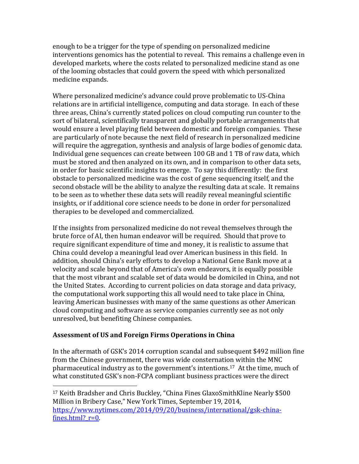enough to be a trigger for the type of spending on personalized medicine interventions genomics has the potential to reveal. This remains a challenge even in developed markets, where the costs related to personalized medicine stand as one of the looming obstacles that could govern the speed with which personalized medicine expands.

Where personalized medicine's advance could prove problematic to US-China relations are in artificial intelligence, computing and data storage. In each of these three areas, China's currently stated polices on cloud computing run counter to the sort of bilateral, scientifically transparent and globally portable arrangements that would ensure a level playing field between domestic and foreign companies. These are particularly of note because the next field of research in personalized medicine will require the aggregation, synthesis and analysis of large bodies of genomic data. Individual gene sequences can create between 100 GB and 1 TB of raw data, which must be stored and then analyzed on its own, and in comparison to other data sets, in order for basic scientific insights to emerge. To say this differently: the first obstacle to personalized medicine was the cost of gene sequencing itself, and the second obstacle will be the ability to analyze the resulting data at scale. It remains to be seen as to whether these data sets will readily reveal meaningful scientific insights, or if additional core science needs to be done in order for personalized therapies to be developed and commercialized.

If the insights from personalized medicine do not reveal themselves through the brute force of AI, then human endeavor will be required. Should that prove to require significant expenditure of time and money, it is realistic to assume that China could develop a meaningful lead over American business in this field. In addition, should China's early efforts to develop a National Gene Bank move at a velocity and scale beyond that of America's own endeavors, it is equally possible that the most vibrant and scalable set of data would be domiciled in China, and not the United States. According to current policies on data storage and data privacy, the computational work supporting this all would need to take place in China, leaving American businesses with many of the same questions as other American cloud computing and software as service companies currently see as not only unresolved, but benefiting Chinese companies.

## **Assessment of US and Foreign Firms Operations in China**

 $\overline{a}$ 

In the aftermath of GSK's 2014 corruption scandal and subsequent \$492 million fine from the Chinese government, there was wide consternation within the MNC pharmaceutical industry as to the government's intentions.17 At the time, much of what constituted GSK's non-FCPA compliant business practices were the direct

<sup>17</sup> Keith Bradsher and Chris Buckley, "China Fines GlaxoSmithKline Nearly \$500 Million in Bribery Case," New York Times, September 19, 2014, [https://www.nytimes.com/2014/09/20/business/international/gsk-china](https://www.nytimes.com/2014/09/20/business/international/gsk-china-fines.html?_r=0)fines.html?  $r=0$ .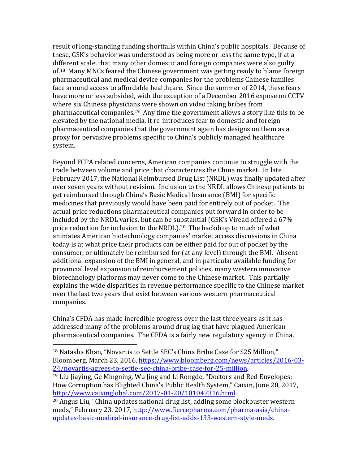result of long-standing funding shortfalls within China's public hospitals. Because of these, GSK's behavior was understood as being more or less the same type, if at a different scale, that many other domestic and foreign companies were also guilty of.18 Many MNCs feared the Chinese government was getting ready to blame foreign pharmaceutical and medical device companies for the problems Chinese families face around access to affordable healthcare. Since the summer of 2014, these fears have more or less subsided, with the exception of a December 2016 expose on CCTV where six Chinese physicians were shown on video taking bribes from pharmaceutical companies.19 Any time the government allows a story like this to be elevated by the national media, it re-introduces fear to domestic and foreign pharmaceutical companies that the government again has designs on them as a proxy for pervasive problems specific to China's publicly managed healthcare system.

Beyond FCPA related concerns, American companies continue to struggle with the trade between volume and price that characterizes the China market. In late February 2017, the National Reimbursed Drug List (NRDL) was finally updated after over seven years without revision. Inclusion to the NRDL allows Chinese patients to get reimbursed through China's Basic Medical Insurance (BMI) for specific medicines that previously would have been paid for entirely out of pocket. The actual price reductions pharmaceutical companies put forward in order to be included by the NRDL varies, but can be substantial (GSK's Viread offered a 67% price reduction for inclusion to the NRDL).<sup>20</sup> The backdrop to much of what animates American biotechnology companies' market access discussions in China today is at what price their products can be either paid for out of pocket by the consumer, or ultimately be reimbursed for (at any level) through the BMI. Absent additional expansion of the BMI in general, and in particular available funding for provincial level expansion of reimbursement policies, many western innovative biotechnology platforms may never come to the Chinese market. This partially explains the wide disparities in revenue performance specific to the Chinese market over the last two years that exist between various western pharmaceutical companies.

China's CFDA has made incredible progress over the last three years as it has addressed many of the problems around drug lag that have plagued American pharmaceutical companies. The CFDA is a fairly new regulatory agency in China,

<sup>18</sup> Natasha Khan, "Novartis to Settle SEC's China Bribe Case for \$25 Million," Bloomberg, March 23, 2016, [https://www.bloomberg.com/news/articles/2016-03-](https://www.bloomberg.com/news/articles/2016-03-24/novartis-agrees-to-settle-sec-china-bribe-case-for-25-million) [24/novartis-agrees-to-settle-sec-china-bribe-case-for-25-million.](https://www.bloomberg.com/news/articles/2016-03-24/novartis-agrees-to-settle-sec-china-bribe-case-for-25-million)

<sup>19</sup> Liu Jiaying, Ge Mingning, Wu Jing and Li Rongde, "Doctors and Red Envelopes: How Corruption has Blighted China's Public Health System," Caixin, June 20, 2017, [http://www.caixinglobal.com/2017-01-20/101047316.html.](http://www.caixinglobal.com/2017-01-20/101047316.html) 

<sup>20</sup> Angus Liu, "China updates national drug list, adding some blockbuster western meds," February 23, 2017, [http://www.fiercepharma.com/pharma-asia/china](http://www.fiercepharma.com/pharma-asia/china-updates-basic-medical-insurance-drug-list-adds-133-western-style-meds)[updates-basic-medical-insurance-drug-list-adds-133-western-style-meds.](http://www.fiercepharma.com/pharma-asia/china-updates-basic-medical-insurance-drug-list-adds-133-western-style-meds)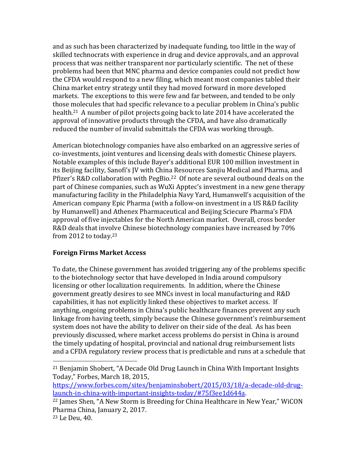and as such has been characterized by inadequate funding, too little in the way of skilled technocrats with experience in drug and device approvals, and an approval process that was neither transparent nor particularly scientific. The net of these problems had been that MNC pharma and device companies could not predict how the CFDA would respond to a new filing, which meant most companies tabled their China market entry strategy until they had moved forward in more developed markets. The exceptions to this were few and far between, and tended to be only those molecules that had specific relevance to a peculiar problem in China's public health.<sup>21</sup> A number of pilot projects going back to late 2014 have accelerated the approval of innovative products through the CFDA, and have also dramatically reduced the number of invalid submittals the CFDA was working through.

American biotechnology companies have also embarked on an aggressive series of co-investments, joint ventures and licensing deals with domestic Chinese players. Notable examples of this include Bayer's additional EUR 100 million investment in its Beijing facility, Sanofi's JV with China Resources Sanjiu Medical and Pharma, and Pfizer's R&D collaboration with PegBio.22 Of note are several outbound deals on the part of Chinese companies, such as WuXi Apptec's investment in a new gene therapy manufacturing facility in the Philadelphia Navy Yard, Humanwell's acquisition of the American company Epic Pharma (with a follow-on investment in a US R&D facility by Humanwell) and Athenex Pharmaceutical and Beijing Sciecure Pharma's FDA approval of five injectables for the North American market. Overall, cross border R&D deals that involve Chinese biotechnology companies have increased by 70% from 2012 to today.<sup>23</sup>

## **Foreign Firms Market Access**

To date, the Chinese government has avoided triggering any of the problems specific to the biotechnology sector that have developed in India around compulsory licensing or other localization requirements. In addition, where the Chinese government greatly desires to see MNCs invest in local manufacturing and R&D capabilities, it has not explicitly linked these objectives to market access. If anything, ongoing problems in China's public healthcare finances prevent any such linkage from having teeth, simply because the Chinese government's reimbursement system does not have the ability to deliver on their side of the deal. As has been previously discussed, where market access problems do persist in China is around the timely updating of hospital, provincial and national drug reimbursement lists and a CFDA regulatory review process that is predictable and runs at a schedule that

<sup>21</sup> Benjamin Shobert, "A Decade Old Drug Launch in China With Important Insights Today," Forbes, March 18, 2015,

[https://www.forbes.com/sites/benjaminshobert/2015/03/18/a-decade-old-drug](https://www.forbes.com/sites/benjaminshobert/2015/03/18/a-decade-old-drug-launch-in-china-with-important-insights-today/#75f3ee1d644a)[launch-in-china-with-important-insights-today/#75f3ee1d644a.](https://www.forbes.com/sites/benjaminshobert/2015/03/18/a-decade-old-drug-launch-in-china-with-important-insights-today/#75f3ee1d644a) 

<sup>22</sup> James Shen, "A New Storm is Breeding for China Healthcare in New Year," WiCON Pharma China, January 2, 2017.

<sup>23</sup> Le Deu, 40.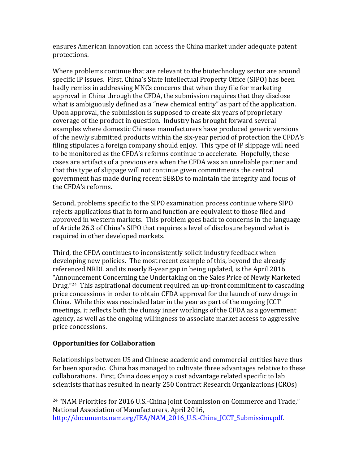ensures American innovation can access the China market under adequate patent protections.

Where problems continue that are relevant to the biotechnology sector are around specific IP issues. First, China's State Intellectual Property Office (SIPO) has been badly remiss in addressing MNCs concerns that when they file for marketing approval in China through the CFDA, the submission requires that they disclose what is ambiguously defined as a "new chemical entity" as part of the application. Upon approval, the submission is supposed to create six years of proprietary coverage of the product in question. Industry has brought forward several examples where domestic Chinese manufacturers have produced generic versions of the newly submitted products within the six-year period of protection the CFDA's filing stipulates a foreign company should enjoy. This type of IP slippage will need to be monitored as the CFDA's reforms continue to accelerate. Hopefully, these cases are artifacts of a previous era when the CFDA was an unreliable partner and that this type of slippage will not continue given commitments the central government has made during recent SE&Ds to maintain the integrity and focus of the CFDA's reforms.

Second, problems specific to the SIPO examination process continue where SIPO rejects applications that in form and function are equivalent to those filed and approved in western markets. This problem goes back to concerns in the language of Article 26.3 of China's SIPO that requires a level of disclosure beyond what is required in other developed markets.

Third, the CFDA continues to inconsistently solicit industry feedback when developing new policies. The most recent example of this, beyond the already referenced NRDL and its nearly 8-year gap in being updated, is the April 2016 "Announcement Concerning the Undertaking on the Sales Price of Newly Marketed Drug."24 This aspirational document required an up-front commitment to cascading price concessions in order to obtain CFDA approval for the launch of new drugs in China. While this was rescinded later in the year as part of the ongoing JCCT meetings, it reflects both the clumsy inner workings of the CFDA as a government agency, as well as the ongoing willingness to associate market access to aggressive price concessions.

# **Opportunities for Collaboration**

 $\overline{a}$ 

Relationships between US and Chinese academic and commercial entities have thus far been sporadic. China has managed to cultivate three advantages relative to these collaborations. First, China does enjoy a cost advantage related specific to lab scientists that has resulted in nearly 250 Contract Research Organizations (CROs)

<sup>24</sup> "NAM Priorities for 2016 U.S.-China Joint Commission on Commerce and Trade," National Association of Manufacturers, April 2016, [http://documents.nam.org/IEA/NAM\\_2016\\_U.S.-China\\_JCCT\\_Submission.pdf.](http://documents.nam.org/IEA/NAM_2016_U.S.-China_JCCT_Submission.pdf)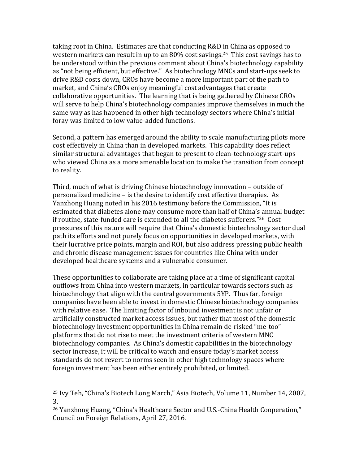taking root in China. Estimates are that conducting R&D in China as opposed to western markets can result in up to an 80% cost savings.25 This cost savings has to be understood within the previous comment about China's biotechnology capability as "not being efficient, but effective." As biotechnology MNCs and start-ups seek to drive R&D costs down, CROs have become a more important part of the path to market, and China's CROs enjoy meaningful cost advantages that create collaborative opportunities. The learning that is being gathered by Chinese CROs will serve to help China's biotechnology companies improve themselves in much the same way as has happened in other high technology sectors where China's initial foray was limited to low value-added functions.

Second, a pattern has emerged around the ability to scale manufacturing pilots more cost effectively in China than in developed markets. This capability does reflect similar structural advantages that began to present to clean-technology start-ups who viewed China as a more amenable location to make the transition from concept to reality.

Third, much of what is driving Chinese biotechnology innovation – outside of personalized medicine – is the desire to identify cost effective therapies. As Yanzhong Huang noted in his 2016 testimony before the Commission, "It is estimated that diabetes alone may consume more than half of China's annual budget if routine, state-funded care is extended to all the diabetes sufferers."26 Cost pressures of this nature will require that China's domestic biotechnology sector dual path its efforts and not purely focus on opportunities in developed markets, with their lucrative price points, margin and ROI, but also address pressing public health and chronic disease management issues for countries like China with underdeveloped healthcare systems and a vulnerable consumer.

These opportunities to collaborate are taking place at a time of significant capital outflows from China into western markets, in particular towards sectors such as biotechnology that align with the central governments 5YP. Thus far, foreign companies have been able to invest in domestic Chinese biotechnology companies with relative ease. The limiting factor of inbound investment is not unfair or artificially constructed market access issues, but rather that most of the domestic biotechnology investment opportunities in China remain de-risked "me-too" platforms that do not rise to meet the investment criteria of western MNC biotechnology companies. As China's domestic capabilities in the biotechnology sector increase, it will be critical to watch and ensure today's market access standards do not revert to norms seen in other high technology spaces where foreign investment has been either entirely prohibited, or limited.

<sup>25</sup> Ivy Teh, "China's Biotech Long March," Asia Biotech, Volume 11, Number 14, 2007, 3.

<sup>26</sup> Yanzhong Huang, "China's Healthcare Sector and U.S.-China Health Cooperation," Council on Foreign Relations, April 27, 2016.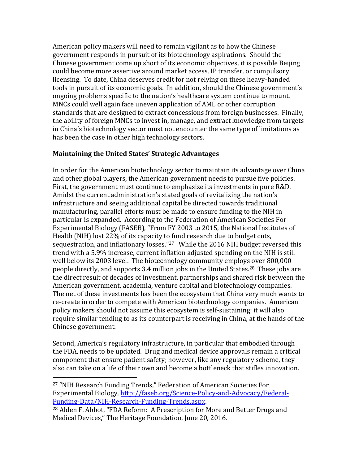American policy makers will need to remain vigilant as to how the Chinese government responds in pursuit of its biotechnology aspirations. Should the Chinese government come up short of its economic objectives, it is possible Beijing could become more assertive around market access, IP transfer, or compulsory licensing. To date, China deserves credit for not relying on these heavy-handed tools in pursuit of its economic goals. In addition, should the Chinese government's ongoing problems specific to the nation's healthcare system continue to mount, MNCs could well again face uneven application of AML or other corruption standards that are designed to extract concessions from foreign businesses. Finally, the ability of foreign MNCs to invest in, manage, and extract knowledge from targets in China's biotechnology sector must not encounter the same type of limitations as has been the case in other high technology sectors.

#### **Maintaining the United States' Strategic Advantages**

In order for the American biotechnology sector to maintain its advantage over China and other global players, the American government needs to pursue five policies. First, the government must continue to emphasize its investments in pure R&D. Amidst the current administration's stated goals of revitalizing the nation's infrastructure and seeing additional capital be directed towards traditional manufacturing, parallel efforts must be made to ensure funding to the NIH in particular is expanded. According to the Federation of American Societies For Experimental Biology (FASEB), "From FY 2003 to 2015, the National Institutes of Health (NIH) lost 22% of its capacity to fund research due to budget cuts, sequestration, and inflationary losses." <sup>27</sup> While the 2016 NIH budget reversed this trend with a 5.9% increase, current inflation adjusted spending on the NIH is still well below its 2003 level. The biotechnology community employs over 800,000 people directly, and supports 3.4 million jobs in the United States.28 These jobs are the direct result of decades of investment, partnerships and shared risk between the American government, academia, venture capital and biotechnology companies. The net of these investments has been the ecosystem that China very much wants to re-create in order to compete with American biotechnology companies. American policy makers should not assume this ecosystem is self-sustaining; it will also require similar tending to as its counterpart is receiving in China, at the hands of the Chinese government.

Second, America's regulatory infrastructure, in particular that embodied through the FDA, needs to be updated. Drug and medical device approvals remain a critical component that ensure patient safety; however, like any regulatory scheme, they also can take on a life of their own and become a bottleneck that stifles innovation.

l

<sup>27</sup> "NIH Research Funding Trends," Federation of American Societies For Experimental Biology, [http://faseb.org/Science-Policy-and-Advocacy/Federal-](http://faseb.org/Science-Policy-and-Advocacy/Federal-Funding-Data/NIH-Research-Funding-Trends.aspx)[Funding-Data/NIH-Research-Funding-Trends.aspx.](http://faseb.org/Science-Policy-and-Advocacy/Federal-Funding-Data/NIH-Research-Funding-Trends.aspx)

<sup>28</sup> Alden F. Abbot, "FDA Reform: A Prescription for More and Better Drugs and Medical Devices," The Heritage Foundation, June 20, 2016.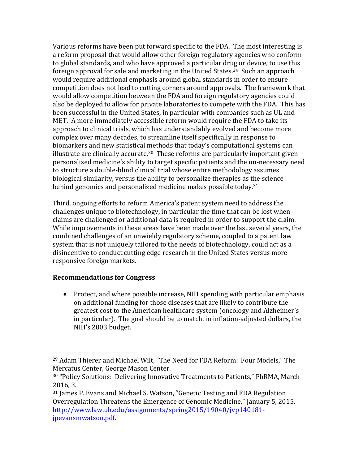Various reforms have been put forward specific to the FDA. The most interesting is a reform proposal that would allow other foreign regulatory agencies who conform to global standards, and who have approved a particular drug or device, to use this foreign approval for sale and marketing in the United States.<sup>29</sup> Such an approach would require additional emphasis around global standards in order to ensure competition does not lead to cutting corners around approvals. The framework that would allow competition between the FDA and foreign regulatory agencies could also be deployed to allow for private laboratories to compete with the FDA. This has been successful in the United States, in particular with companies such as UL and MET. A more immediately accessible reform would require the FDA to take its approach to clinical trials, which has understandably evolved and become more complex over many decades, to streamline itself specifically in response to biomarkers and new statistical methods that today's computational systems can illustrate are clinically accurate. <sup>30</sup> These reforms are particularly important given personalized medicine's ability to target specific patients and the un-necessary need to structure a double-blind clinical trial whose entire methodology assumes biological similarity, versus the ability to personalize therapies as the science behind genomics and personalized medicine makes possible today. 31

Third, ongoing efforts to reform America's patent system need to address the challenges unique to biotechnology, in particular the time that can be lost when claims are challenged or additional data is required in order to support the claim. While improvements in these areas have been made over the last several years, the combined challenges of an unwieldy regulatory scheme, coupled to a patent law system that is not uniquely tailored to the needs of biotechnology, could act as a disincentive to conduct cutting edge research in the United States versus more responsive foreign markets.

## **Recommendations for Congress**

 $\overline{a}$ 

• Protect, and where possible increase, NIH spending with particular emphasis on additional funding for those diseases that are likely to contribute the greatest cost to the American healthcare system (oncology and Alzheimer's in particular). The goal should be to match, in inflation-adjusted dollars, the NIH's 2003 budget.

<sup>29</sup> Adam Thierer and Michael Wilt, "The Need for FDA Reform: Four Models," The Mercatus Center, George Mason Center.

<sup>30</sup> "Policy Solutions: Delivering Innovative Treatments to Patients," PhRMA, March 2016, 3.

<sup>31</sup> James P. Evans and Michael S. Watson, "Genetic Testing and FDA Regulation Overregulation Threatens the Emergence of Genomic Medicine," January 5, 2015, [http://www.law.uh.edu/assignments/spring2015/19040/jvp140181](http://www.law.uh.edu/assignments/spring2015/19040/jvp140181-jpevansmwatson.pdf) [jpevansmwatson.pdf.](http://www.law.uh.edu/assignments/spring2015/19040/jvp140181-jpevansmwatson.pdf)